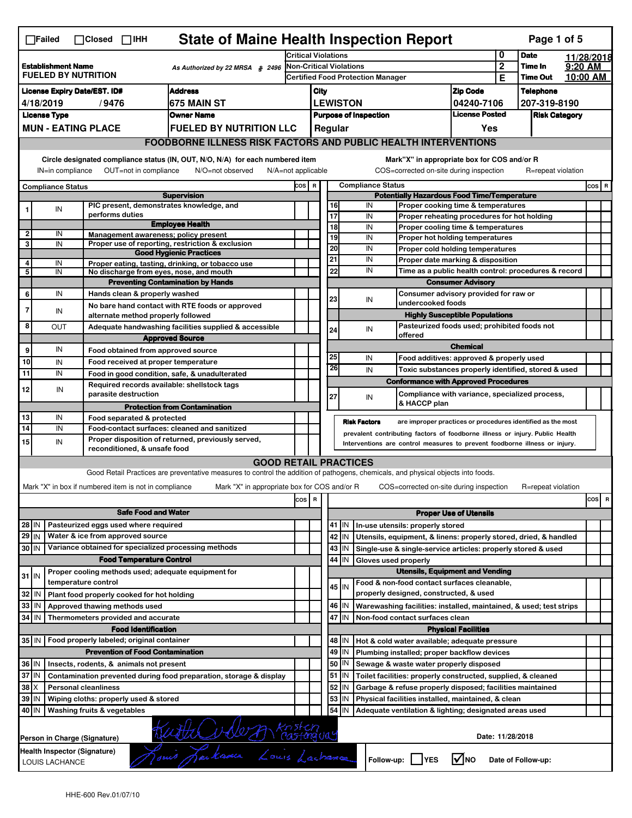|                                                                                                                                                                                                                                                                                       | <b>State of Maine Health Inspection Report</b><br>Page 1 of 5<br>$\Box$ Failed<br>$\Box$ Closed $\Box$ IHH |                                                                                                                                                                                                                  |                                                                                              |                                                                                                                                   |                     |  |                                                    |                  |                                                                                                        |                                       |                            |                      |          |            |
|---------------------------------------------------------------------------------------------------------------------------------------------------------------------------------------------------------------------------------------------------------------------------------------|------------------------------------------------------------------------------------------------------------|------------------------------------------------------------------------------------------------------------------------------------------------------------------------------------------------------------------|----------------------------------------------------------------------------------------------|-----------------------------------------------------------------------------------------------------------------------------------|---------------------|--|----------------------------------------------------|------------------|--------------------------------------------------------------------------------------------------------|---------------------------------------|----------------------------|----------------------|----------|------------|
|                                                                                                                                                                                                                                                                                       |                                                                                                            |                                                                                                                                                                                                                  |                                                                                              |                                                                                                                                   | Critical Violations |  |                                                    |                  |                                                                                                        |                                       | 0                          | <b>Date</b>          |          | 11/28/2018 |
|                                                                                                                                                                                                                                                                                       | <b>Establishment Name</b><br>As Authorized by 22 MRSA § 2496<br><b>FUELED BY NUTRITION</b>                 |                                                                                                                                                                                                                  |                                                                                              | <b>Non-Critical Violations</b><br><b>Certified Food Protection Manager</b>                                                        |                     |  |                                                    |                  |                                                                                                        | $\overline{2}$                        | Time In<br><b>Time Out</b> | $9:20$ AM            | 10:00 AM |            |
|                                                                                                                                                                                                                                                                                       |                                                                                                            |                                                                                                                                                                                                                  |                                                                                              |                                                                                                                                   |                     |  |                                                    |                  |                                                                                                        |                                       | Е                          |                      |          |            |
| <b>Address</b><br><b>License Expiry Date/EST. ID#</b>                                                                                                                                                                                                                                 |                                                                                                            |                                                                                                                                                                                                                  |                                                                                              |                                                                                                                                   | City                |  |                                                    |                  | <b>Zip Code</b>                                                                                        |                                       | <b>Telephone</b>           |                      |          |            |
| <b>1675 MAIN ST</b><br>4/18/2019<br>/9476                                                                                                                                                                                                                                             |                                                                                                            |                                                                                                                                                                                                                  |                                                                                              |                                                                                                                                   |                     |  | <b>LEWISTON</b>                                    |                  | 04240-7106<br><b>License Posted</b>                                                                    |                                       | 207-319-8190               |                      |          |            |
|                                                                                                                                                                                                                                                                                       | <b>License Type</b>                                                                                        | <b>MUN - EATING PLACE</b>                                                                                                                                                                                        |                                                                                              | <b>Owner Name</b><br><b>FUELED BY NUTRITION LLC</b>                                                                               |                     |  |                                                    |                  | <b>Purpose of Inspection</b>                                                                           | Yes                                   |                            | <b>Risk Category</b> |          |            |
|                                                                                                                                                                                                                                                                                       |                                                                                                            |                                                                                                                                                                                                                  |                                                                                              |                                                                                                                                   |                     |  |                                                    | Regular          |                                                                                                        |                                       |                            |                      |          |            |
|                                                                                                                                                                                                                                                                                       | <b>FOODBORNE ILLNESS RISK FACTORS AND PUBLIC HEALTH INTERVENTIONS</b>                                      |                                                                                                                                                                                                                  |                                                                                              |                                                                                                                                   |                     |  |                                                    |                  |                                                                                                        |                                       |                            |                      |          |            |
| Circle designated compliance status (IN, OUT, N/O, N/A) for each numbered item<br>Mark"X" in appropriate box for COS and/or R<br>IN=in compliance<br>OUT=not in compliance<br>N/O=not observed<br>N/A=not applicable<br>COS=corrected on-site during inspection<br>R=repeat violation |                                                                                                            |                                                                                                                                                                                                                  |                                                                                              |                                                                                                                                   |                     |  |                                                    |                  |                                                                                                        |                                       |                            |                      |          |            |
|                                                                                                                                                                                                                                                                                       | <b>Compliance Status</b>                                                                                   |                                                                                                                                                                                                                  |                                                                                              |                                                                                                                                   | COS R               |  |                                                    |                  | <b>Compliance Status</b>                                                                               |                                       |                            |                      |          | $cos$ R    |
| <b>Supervision</b>                                                                                                                                                                                                                                                                    |                                                                                                            |                                                                                                                                                                                                                  |                                                                                              |                                                                                                                                   |                     |  | <b>Potentially Hazardous Food Time/Temperature</b> |                  |                                                                                                        |                                       |                            |                      |          |            |
| 1                                                                                                                                                                                                                                                                                     | IN                                                                                                         | performs duties                                                                                                                                                                                                  |                                                                                              | PIC present, demonstrates knowledge, and                                                                                          |                     |  | 16<br>17                                           |                  | IN<br>Proper cooking time & temperatures<br>IN<br>Proper reheating procedures for hot holding          |                                       |                            |                      |          |            |
|                                                                                                                                                                                                                                                                                       |                                                                                                            |                                                                                                                                                                                                                  |                                                                                              | <b>Employee Health</b>                                                                                                            |                     |  | 18                                                 |                  | IN<br>Proper cooling time & temperatures                                                               |                                       |                            |                      |          |            |
| $\mathbf 2$                                                                                                                                                                                                                                                                           | IN                                                                                                         |                                                                                                                                                                                                                  |                                                                                              | Management awareness; policy present                                                                                              |                     |  | 19                                                 |                  | IN<br>Proper hot holding temperatures                                                                  |                                       |                            |                      |          |            |
| 3                                                                                                                                                                                                                                                                                     | IN                                                                                                         |                                                                                                                                                                                                                  |                                                                                              | Proper use of reporting, restriction & exclusion<br><b>Good Hygienic Practices</b>                                                |                     |  | 20                                                 |                  | IN<br>Proper cold holding temperatures                                                                 |                                       |                            |                      |          |            |
| 4                                                                                                                                                                                                                                                                                     | IN                                                                                                         |                                                                                                                                                                                                                  |                                                                                              | Proper eating, tasting, drinking, or tobacco use                                                                                  |                     |  | 21                                                 |                  | IN<br>Proper date marking & disposition                                                                |                                       |                            |                      |          |            |
| 5                                                                                                                                                                                                                                                                                     | IN                                                                                                         |                                                                                                                                                                                                                  |                                                                                              | No discharge from eyes, nose, and mouth                                                                                           |                     |  | 22                                                 |                  | IN<br>Time as a public health control: procedures & record                                             |                                       |                            |                      |          |            |
|                                                                                                                                                                                                                                                                                       |                                                                                                            |                                                                                                                                                                                                                  |                                                                                              | <b>Preventing Contamination by Hands</b>                                                                                          |                     |  |                                                    |                  |                                                                                                        | <b>Consumer Advisory</b>              |                            |                      |          |            |
| 6                                                                                                                                                                                                                                                                                     | IN                                                                                                         |                                                                                                                                                                                                                  | Hands clean & properly washed                                                                |                                                                                                                                   |                     |  | 23                                                 |                  | Consumer advisory provided for raw or<br>IN                                                            |                                       |                            |                      |          |            |
| 7                                                                                                                                                                                                                                                                                     | IN                                                                                                         |                                                                                                                                                                                                                  |                                                                                              | No bare hand contact with RTE foods or approved                                                                                   |                     |  |                                                    |                  | undercooked foods                                                                                      |                                       |                            |                      |          |            |
|                                                                                                                                                                                                                                                                                       |                                                                                                            |                                                                                                                                                                                                                  | alternate method properly followed                                                           |                                                                                                                                   |                     |  |                                                    |                  |                                                                                                        | <b>Highly Susceptible Populations</b> |                            |                      |          |            |
| 8                                                                                                                                                                                                                                                                                     | <b>OUT</b>                                                                                                 |                                                                                                                                                                                                                  |                                                                                              | Adequate handwashing facilities supplied & accessible                                                                             |                     |  | 24                                                 |                  | Pasteurized foods used; prohibited foods not<br>IN<br>offered                                          |                                       |                            |                      |          |            |
| 9                                                                                                                                                                                                                                                                                     | IN                                                                                                         |                                                                                                                                                                                                                  |                                                                                              | <b>Approved Source</b>                                                                                                            |                     |  |                                                    |                  |                                                                                                        | <b>Chemical</b>                       |                            |                      |          |            |
| 10                                                                                                                                                                                                                                                                                    |                                                                                                            |                                                                                                                                                                                                                  | Food obtained from approved source                                                           |                                                                                                                                   |                     |  | 25                                                 |                  | IN<br>Food additives: approved & properly used                                                         |                                       |                            |                      |          |            |
| 11                                                                                                                                                                                                                                                                                    | IN<br>IN                                                                                                   |                                                                                                                                                                                                                  | Food received at proper temperature                                                          |                                                                                                                                   |                     |  | 26                                                 |                  | IN<br>Toxic substances properly identified, stored & used                                              |                                       |                            |                      |          |            |
|                                                                                                                                                                                                                                                                                       |                                                                                                            |                                                                                                                                                                                                                  |                                                                                              | Food in good condition, safe, & unadulterated<br>Required records available: shellstock tags                                      |                     |  |                                                    |                  | <b>Conformance with Approved Procedures</b>                                                            |                                       |                            |                      |          |            |
| 12                                                                                                                                                                                                                                                                                    | IN                                                                                                         |                                                                                                                                                                                                                  | parasite destruction                                                                         |                                                                                                                                   |                     |  | 27                                                 |                  | Compliance with variance, specialized process,<br>IN                                                   |                                       |                            |                      |          |            |
|                                                                                                                                                                                                                                                                                       |                                                                                                            |                                                                                                                                                                                                                  |                                                                                              | <b>Protection from Contamination</b>                                                                                              |                     |  |                                                    |                  | & HACCP plan                                                                                           |                                       |                            |                      |          |            |
| 13                                                                                                                                                                                                                                                                                    | IN                                                                                                         |                                                                                                                                                                                                                  | Food separated & protected                                                                   |                                                                                                                                   |                     |  |                                                    |                  |                                                                                                        |                                       |                            |                      |          |            |
| 14                                                                                                                                                                                                                                                                                    | IN                                                                                                         |                                                                                                                                                                                                                  |                                                                                              | Food-contact surfaces: cleaned and sanitized                                                                                      |                     |  |                                                    |                  | <b>Risk Factors</b><br>are improper practices or procedures identified as the most                     |                                       |                            |                      |          |            |
| 15                                                                                                                                                                                                                                                                                    | IN                                                                                                         | prevalent contributing factors of foodborne illness or injury. Public Health<br>Proper disposition of returned, previously served,<br>Interventions are control measures to prevent foodborne illness or injury. |                                                                                              |                                                                                                                                   |                     |  |                                                    |                  |                                                                                                        |                                       |                            |                      |          |            |
|                                                                                                                                                                                                                                                                                       |                                                                                                            |                                                                                                                                                                                                                  | reconditioned, & unsafe food                                                                 |                                                                                                                                   |                     |  |                                                    |                  |                                                                                                        |                                       |                            |                      |          |            |
|                                                                                                                                                                                                                                                                                       |                                                                                                            |                                                                                                                                                                                                                  |                                                                                              | <b>GOOD RETAIL PRACTICES</b>                                                                                                      |                     |  |                                                    |                  |                                                                                                        |                                       |                            |                      |          |            |
|                                                                                                                                                                                                                                                                                       |                                                                                                            |                                                                                                                                                                                                                  |                                                                                              | Good Retail Practices are preventative measures to control the addition of pathogens, chemicals, and physical objects into foods. |                     |  |                                                    |                  |                                                                                                        |                                       |                            |                      |          |            |
|                                                                                                                                                                                                                                                                                       |                                                                                                            |                                                                                                                                                                                                                  | Mark "X" in box if numbered item is not in compliance                                        | Mark "X" in appropriate box for COS and/or R                                                                                      |                     |  |                                                    |                  | COS=corrected on-site during inspection                                                                |                                       |                            | R=repeat violation   |          |            |
|                                                                                                                                                                                                                                                                                       |                                                                                                            |                                                                                                                                                                                                                  |                                                                                              |                                                                                                                                   | cos R               |  |                                                    |                  |                                                                                                        |                                       |                            |                      |          | cos<br>R   |
|                                                                                                                                                                                                                                                                                       |                                                                                                            |                                                                                                                                                                                                                  | <b>Safe Food and Water</b>                                                                   |                                                                                                                                   |                     |  |                                                    |                  |                                                                                                        | <b>Proper Use of Utensils</b>         |                            |                      |          |            |
| 28 IN                                                                                                                                                                                                                                                                                 |                                                                                                            |                                                                                                                                                                                                                  | Pasteurized eggs used where required                                                         |                                                                                                                                   |                     |  |                                                    | 41 J IN          | In-use utensils: properly stored                                                                       |                                       |                            |                      |          |            |
| 29 I IN                                                                                                                                                                                                                                                                               |                                                                                                            |                                                                                                                                                                                                                  | Water & ice from approved source                                                             |                                                                                                                                   |                     |  |                                                    | 42   IN          | Utensils, equipment, & linens: properly stored, dried, & handled                                       |                                       |                            |                      |          |            |
| 30 IN                                                                                                                                                                                                                                                                                 |                                                                                                            |                                                                                                                                                                                                                  |                                                                                              | Variance obtained for specialized processing methods                                                                              |                     |  |                                                    | 43 IN            | Single-use & single-service articles: properly stored & used                                           |                                       |                            |                      |          |            |
|                                                                                                                                                                                                                                                                                       |                                                                                                            |                                                                                                                                                                                                                  | <b>Food Temperature Control</b>                                                              |                                                                                                                                   |                     |  | 44                                                 | IN               | Gloves used properly                                                                                   |                                       |                            |                      |          |            |
| $31$ IN                                                                                                                                                                                                                                                                               |                                                                                                            |                                                                                                                                                                                                                  |                                                                                              | Proper cooling methods used; adequate equipment for                                                                               |                     |  |                                                    |                  | <b>Utensils, Equipment and Vending</b>                                                                 |                                       |                            |                      |          |            |
|                                                                                                                                                                                                                                                                                       |                                                                                                            | temperature control                                                                                                                                                                                              |                                                                                              |                                                                                                                                   |                     |  |                                                    | 45 IN            | Food & non-food contact surfaces cleanable,                                                            |                                       |                            |                      |          |            |
| 32   IN                                                                                                                                                                                                                                                                               |                                                                                                            |                                                                                                                                                                                                                  | Plant food properly cooked for hot holding                                                   |                                                                                                                                   |                     |  |                                                    |                  | properly designed, constructed, & used                                                                 |                                       |                            |                      |          |            |
| 33   IN                                                                                                                                                                                                                                                                               |                                                                                                            | Approved thawing methods used                                                                                                                                                                                    |                                                                                              |                                                                                                                                   |                     |  |                                                    | 46 IN            | Warewashing facilities: installed, maintained, & used; test strips                                     |                                       |                            |                      |          |            |
| 34 IN                                                                                                                                                                                                                                                                                 |                                                                                                            |                                                                                                                                                                                                                  | Thermometers provided and accurate                                                           |                                                                                                                                   |                     |  | 47                                                 | IN               | Non-food contact surfaces clean                                                                        |                                       |                            |                      |          |            |
|                                                                                                                                                                                                                                                                                       |                                                                                                            |                                                                                                                                                                                                                  | <b>Food Identification</b>                                                                   |                                                                                                                                   |                     |  |                                                    |                  |                                                                                                        | <b>Physical Facilities</b>            |                            |                      |          |            |
|                                                                                                                                                                                                                                                                                       |                                                                                                            |                                                                                                                                                                                                                  | 35 IN   Food properly labeled; original container<br><b>Prevention of Food Contamination</b> |                                                                                                                                   |                     |  |                                                    | 48   IN<br>49 IN | Hot & cold water available; adequate pressure                                                          |                                       |                            |                      |          |            |
| 36 IN                                                                                                                                                                                                                                                                                 |                                                                                                            |                                                                                                                                                                                                                  | Insects, rodents, & animals not present                                                      |                                                                                                                                   |                     |  | 50                                                 | IN               | Plumbing installed; proper backflow devices                                                            |                                       |                            |                      |          |            |
| 37 IN                                                                                                                                                                                                                                                                                 |                                                                                                            |                                                                                                                                                                                                                  |                                                                                              | Contamination prevented during food preparation, storage & display                                                                |                     |  |                                                    | 51 J IN          | Sewage & waste water properly disposed<br>Toilet facilities: properly constructed, supplied, & cleaned |                                       |                            |                      |          |            |
| 38 X                                                                                                                                                                                                                                                                                  |                                                                                                            | <b>Personal cleanliness</b>                                                                                                                                                                                      |                                                                                              |                                                                                                                                   |                     |  | 52                                                 | IN               | Garbage & refuse properly disposed; facilities maintained                                              |                                       |                            |                      |          |            |
| 39 IN                                                                                                                                                                                                                                                                                 |                                                                                                            |                                                                                                                                                                                                                  | Wiping cloths: properly used & stored                                                        |                                                                                                                                   |                     |  | 53                                                 | IN               | Physical facilities installed, maintained, & clean                                                     |                                       |                            |                      |          |            |
| 40 IN                                                                                                                                                                                                                                                                                 |                                                                                                            | Washing fruits & vegetables                                                                                                                                                                                      |                                                                                              |                                                                                                                                   |                     |  | 54                                                 | IN               | Adequate ventilation & lighting; designated areas used                                                 |                                       |                            |                      |          |            |
|                                                                                                                                                                                                                                                                                       |                                                                                                            |                                                                                                                                                                                                                  |                                                                                              |                                                                                                                                   |                     |  |                                                    |                  |                                                                                                        |                                       |                            |                      |          |            |
|                                                                                                                                                                                                                                                                                       | Date: 11/28/2018<br>Person in Charge (Signature)                                                           |                                                                                                                                                                                                                  |                                                                                              |                                                                                                                                   |                     |  |                                                    |                  |                                                                                                        |                                       |                            |                      |          |            |
|                                                                                                                                                                                                                                                                                       | Leukane Louis Lachamos<br>Health Inspector (Signature)                                                     |                                                                                                                                                                                                                  |                                                                                              |                                                                                                                                   |                     |  |                                                    |                  |                                                                                                        |                                       |                            |                      |          |            |
|                                                                                                                                                                                                                                                                                       | I√INO<br>Follow-up:  <br><b>YES</b><br>Date of Follow-up:<br>LOUIS LACHANCE                                |                                                                                                                                                                                                                  |                                                                                              |                                                                                                                                   |                     |  |                                                    |                  |                                                                                                        |                                       |                            |                      |          |            |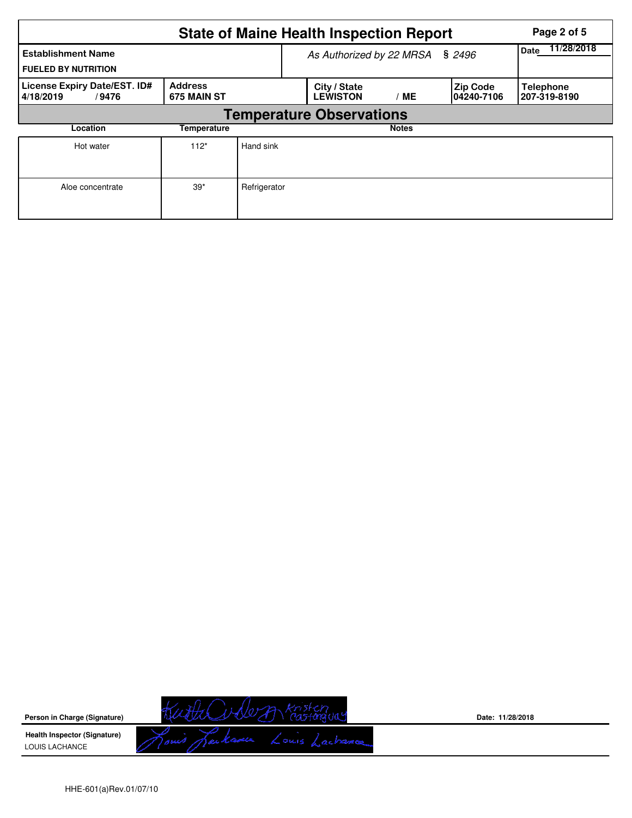|                                                         | Page 2 of 5                     |                                 |                                 |              |                                |                                  |  |  |  |
|---------------------------------------------------------|---------------------------------|---------------------------------|---------------------------------|--------------|--------------------------------|----------------------------------|--|--|--|
| <b>Establishment Name</b><br><b>FUELED BY NUTRITION</b> |                                 | As Authorized by 22 MRSA § 2496 | 11/28/2018<br><b>Date</b>       |              |                                |                                  |  |  |  |
| License Expiry Date/EST. ID#<br>4/18/2019<br>/9476      | <b>Address</b><br>675 MAIN ST   |                                 | City / State<br><b>LEWISTON</b> | МE           | <b>Zip Code</b><br>104240-7106 | <b>Telephone</b><br>207-319-8190 |  |  |  |
|                                                         | <b>Temperature Observations</b> |                                 |                                 |              |                                |                                  |  |  |  |
| Location                                                | Temperature                     |                                 |                                 | <b>Notes</b> |                                |                                  |  |  |  |
| Hot water                                               | $112*$                          | Hand sink                       |                                 |              |                                |                                  |  |  |  |
| Aloe concentrate                                        | $39*$                           | Refrigerator                    |                                 |              |                                |                                  |  |  |  |

Kutha Volem Kristenguay **Person in Charge (Signature) Health Inspector (Signature)**  LOUIS LACHANCE

**Date: 11/28/2018**

HHE-601(a)Rev.01/07/10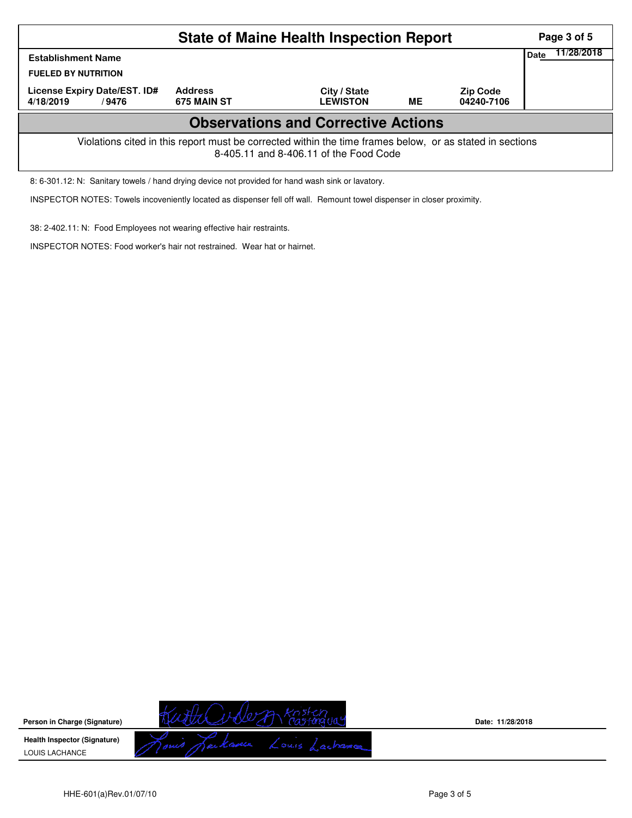| <b>State of Maine Health Inspection Report</b><br>Page 3 of 5                                                                                      |                               |                                 |    |                               |  |  |  |  |
|----------------------------------------------------------------------------------------------------------------------------------------------------|-------------------------------|---------------------------------|----|-------------------------------|--|--|--|--|
| <b>Date</b><br><b>Establishment Name</b>                                                                                                           |                               |                                 |    |                               |  |  |  |  |
| <b>FUELED BY NUTRITION</b>                                                                                                                         |                               |                                 |    |                               |  |  |  |  |
| License Expiry Date/EST. ID#<br>4/18/2019<br>/9476                                                                                                 | <b>Address</b><br>675 MAIN ST | City / State<br><b>LEWISTON</b> | ME | <b>Zip Code</b><br>04240-7106 |  |  |  |  |
| <b>Observations and Corrective Actions</b>                                                                                                         |                               |                                 |    |                               |  |  |  |  |
| Violations cited in this report must be corrected within the time frames below, or as stated in sections<br>8-405.11 and 8-406.11 of the Food Code |                               |                                 |    |                               |  |  |  |  |

8: 6-301.12: N: Sanitary towels / hand drying device not provided for hand wash sink or lavatory.

INSPECTOR NOTES: Towels incoveniently located as dispenser fell off wall. Remount towel dispenser in closer proximity.

38: 2-402.11: N: Food Employees not wearing effective hair restraints.

INSPECTOR NOTES: Food worker's hair not restrained. Wear hat or hairnet.

**Person in Charge (Signature) Health Inspector (Signature)**  LOUIS LACHANCE

KuthCuble A Kristenguay

**Date: 11/28/2018**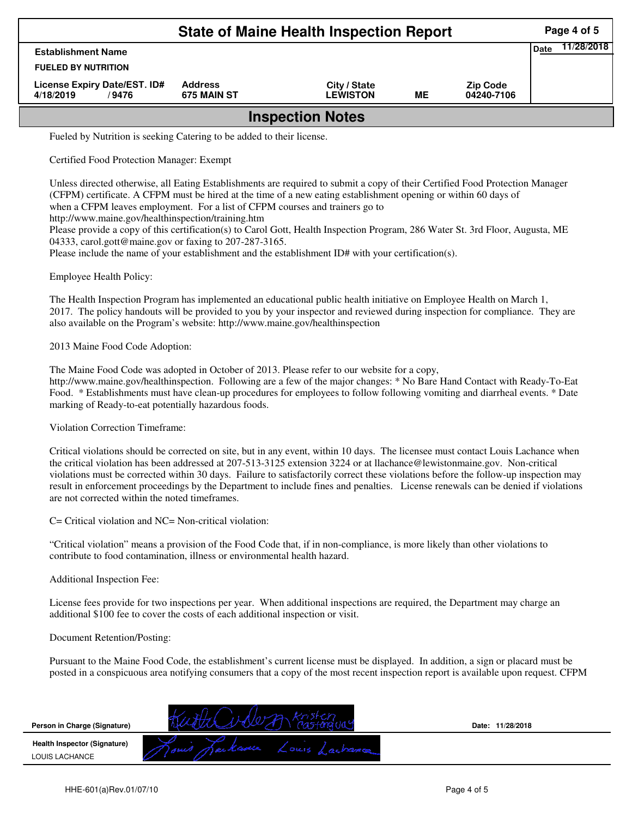| <b>State of Maine Health Inspection Report</b><br>Page 4 of 5 |                               |                                 |    |                               |      |            |  |  |
|---------------------------------------------------------------|-------------------------------|---------------------------------|----|-------------------------------|------|------------|--|--|
| <b>Establishment Name</b>                                     |                               |                                 |    |                               | Date | 11/28/2018 |  |  |
| <b>FUELED BY NUTRITION</b>                                    |                               |                                 |    |                               |      |            |  |  |
| License Expiry Date/EST. ID#<br>4/18/2019<br>/9476            | <b>Address</b><br>675 MAIN ST | City / State<br><b>LEWISTON</b> | ME | <b>Zip Code</b><br>04240-7106 |      |            |  |  |
| <b>Inspection Notes</b>                                       |                               |                                 |    |                               |      |            |  |  |

Fueled by Nutrition is seeking Catering to be added to their license.

Certified Food Protection Manager: Exempt

Unless directed otherwise, all Eating Establishments are required to submit a copy of their Certified Food Protection Manager (CFPM) certificate. A CFPM must be hired at the time of a new eating establishment opening or within 60 days of when a CFPM leaves employment. For a list of CFPM courses and trainers go to

http://www.maine.gov/healthinspection/training.htm

Please provide a copy of this certification(s) to Carol Gott, Health Inspection Program, 286 Water St. 3rd Floor, Augusta, ME 04333, carol.gott@maine.gov or faxing to 207-287-3165.

Please include the name of your establishment and the establishment ID# with your certification(s).

Employee Health Policy:

The Health Inspection Program has implemented an educational public health initiative on Employee Health on March 1, 2017. The policy handouts will be provided to you by your inspector and reviewed during inspection for compliance. They are also available on the Program's website: http://www.maine.gov/healthinspection

2013 Maine Food Code Adoption:

The Maine Food Code was adopted in October of 2013. Please refer to our website for a copy, http://www.maine.gov/healthinspection. Following are a few of the major changes: \* No Bare Hand Contact with Ready-To-Eat Food. \* Establishments must have clean-up procedures for employees to follow following vomiting and diarrheal events. \* Date marking of Ready-to-eat potentially hazardous foods.

Violation Correction Timeframe:

Critical violations should be corrected on site, but in any event, within 10 days. The licensee must contact Louis Lachance when the critical violation has been addressed at 207-513-3125 extension 3224 or at llachance@lewistonmaine.gov. Non-critical violations must be corrected within 30 days. Failure to satisfactorily correct these violations before the follow-up inspection may result in enforcement proceedings by the Department to include fines and penalties. License renewals can be denied if violations are not corrected within the noted timeframes.

C= Critical violation and NC= Non-critical violation:

"Critical violation" means a provision of the Food Code that, if in non-compliance, is more likely than other violations to contribute to food contamination, illness or environmental health hazard.

Additional Inspection Fee:

License fees provide for two inspections per year. When additional inspections are required, the Department may charge an additional \$100 fee to cover the costs of each additional inspection or visit.

Document Retention/Posting:

Pursuant to the Maine Food Code, the establishment's current license must be displayed. In addition, a sign or placard must be posted in a conspicuous area notifying consumers that a copy of the most recent inspection report is available upon request. CFPM

| Person in Charge (Signature)                          |                                          | 11/28/2018<br>Date: |
|-------------------------------------------------------|------------------------------------------|---------------------|
| <b>Health Inspector (Signature)</b><br>LOUIS LACHANCE | . K. Casolica.<br>2016<br><b>VENT CO</b> |                     |